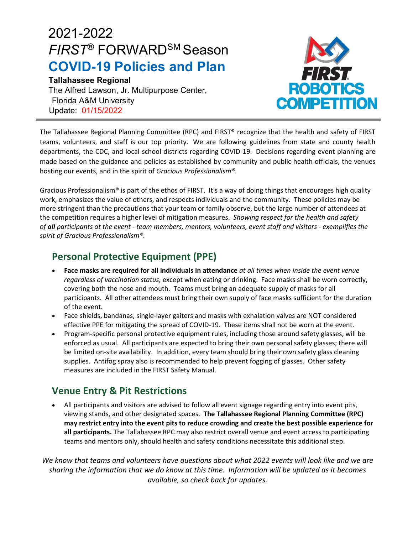# 2021-2022 *FIRST*® FORWARDSM Season **COVID-19 Policies and Plan**

#### **Tallahassee Regional**

The Alfred Lawson, Jr. Multipurpose Center, Florida A&M University Update: 01/15/2022



The Tallahassee Regional Planning Committee (RPC) and FIRST® recognize that the health and safety of FIRST teams, volunteers, and staff is our top priority. We are following guidelines from state and county health departments, the CDC, and local school districts regarding COVID-19. Decisions regarding event planning are made based on the guidance and policies as established by community and public health officials, the venues hosting our events, and in the spirit of *Gracious Professionalism®.*

Gracious Professionalism® is part of the ethos of FIRST. It's a way of doing things that encourages high quality work, emphasizes the value of others, and respects individuals and the community. These policies may be more stringent than the precautions that your team or family observe, but the large number of attendees at the competition requires a higher level of mitigation measures. *Showing respect for the health and safety of all participants at the event - team members, mentors, volunteers, event staff and visitors - exemplifies the spirit of Gracious Professionalism®.*

## **Personal Protective Equipment (PPE)**

- **Face masks are required for all individuals in attendance** *at all times when inside the event venue regardless of vaccination status,* except when eating or drinking. Face masks shall be worn correctly, covering both the nose and mouth. Teams must bring an adequate supply of masks for all participants. All other attendees must bring their own supply of face masks sufficient for the duration of the event.
- Face shields, bandanas, single-layer gaiters and masks with exhalation valves are NOT considered effective PPE for mitigating the spread of COVID-19. These items shall not be worn at the event.
- Program-specific personal protective equipment rules, including those around safety glasses, will be enforced as usual. All participants are expected to bring their own personal safety glasses; there will be limited on-site availability. In addition, every team should bring their own safety glass cleaning supplies. Antifog spray also is recommended to help prevent fogging of glasses. Other safety measures are included in the FIRST Safety Manual.

## **Venue Entry & Pit Restrictions**

• All participants and visitors are advised to follow all event signage regarding entry into event pits, viewing stands, and other designated spaces. **The Tallahassee Regional Planning Committee (RPC) may restrict entry into the event pits to reduce crowding and create the best possible experience for all participants.** The Tallahassee RPC may also restrict overall venue and event access to participating teams and mentors only, should health and safety conditions necessitate this additional step.

*We know that teams and volunteers have questions about what 2022 events will look like and we are sharing the information that we do know at this time. Information will be updated as it becomes available, so check back for updates.*